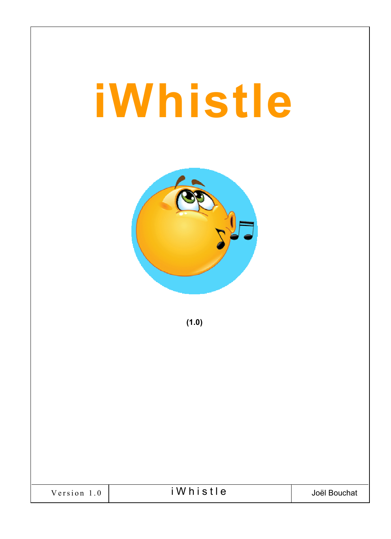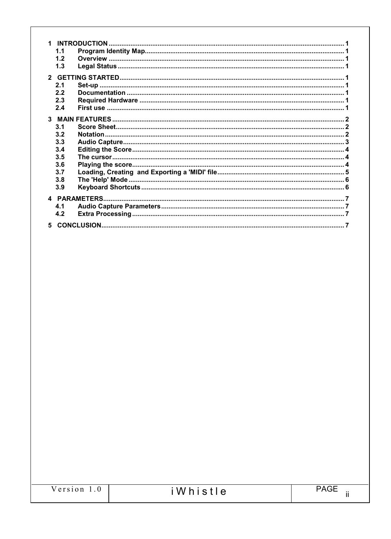| 11  |  |
|-----|--|
| 1.2 |  |
| 1.3 |  |
|     |  |
|     |  |
| 2.1 |  |
| 2.2 |  |
| 2.3 |  |
| 2.4 |  |
|     |  |
|     |  |
| 3.1 |  |
| 3.2 |  |
| 3.3 |  |
| 3.4 |  |
| 3.5 |  |
| 3.6 |  |
| 3.7 |  |
| 3.8 |  |
|     |  |
| 3.9 |  |
|     |  |
| 4.1 |  |
| 4.2 |  |
|     |  |
|     |  |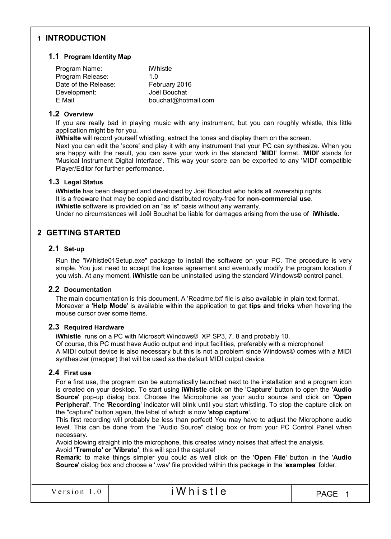# 1 INTRODUCTION

#### 1.1 Program Identity Map

| Program Name:        | iWhistle            |
|----------------------|---------------------|
| Program Release:     | 1 በ                 |
| Date of the Release: | February 2016       |
| Development:         | Joël Bouchat        |
| E.Mail               | bouchat@hotmail.com |
|                      |                     |

#### 1.2 Overview

If you are really bad in playing music with any instrument, but you can roughly whistle, this little application might be for you.

iWhislte will record yourself whistling, extract the tones and display them on the screen.

Next you can edit the 'score' and play it with any instrument that your PC can synthesize. When you are happy with the result, you can save your work in the standard 'MIDI' format. 'MIDI' stands for 'Musical Instrument Digital Interface'. This way your score can be exported to any 'MIDI' compatible Player/Editor for further performance.

### 1.3 Legal Status

iWhistle has been designed and developed by Joël Bouchat who holds all ownership rights. It is a freeware that may be copied and distributed royalty-free for non-commercial use. iWhistle software is provided on an "as is" basis without any warranty. Under no circumstances will Joël Bouchat be liable for damages arising from the use of *iWhistle*.

# 2 GETTING STARTED

### 2.1 Set-up

Run the "iWhistle01Setup.exe" package to install the software on your PC. The procedure is very simple. You just need to accept the license agreement and eventually modify the program location if you wish. At any moment, iWhistle can be uninstalled using the standard Windows© control panel.

# 2.2 Documentation

The main documentation is this document. A 'Readme.txt' file is also available in plain text format. Moreover a 'Help Mode' is available within the application to get tips and tricks when hovering the mouse cursor over some items.

# 2.3 Required Hardware

iWhistle runs on a PC with Microsoft Windows© XP SP3, 7, 8 and probably 10. Of course, this PC must have Audio output and input facilities, preferably with a microphone! A MIDI output device is also necessary but this is not a problem since Windows© comes with a MIDI synthesizer (mapper) that will be used as the default MIDI output device.

# 2.4 First use

For a first use, the program can be automatically launched next to the installation and a program icon is created on your desktop. To start using iWhistle click on the 'Capture' button to open the 'Audio Source' pop-up dialog box. Choose the Microphone as your audio source and click on 'Open Peripheral'. The 'Recording' indicator will blink until you start whistling. To stop the capture click on the "capture" button again, the label of which is now 'stop capture'.

This first recording will probably be less than perfect! You may have to adjust the Microphone audio level. This can be done from the "Audio Source" dialog box or from your PC Control Panel when necessary.

Avoid blowing straight into the microphone, this creates windy noises that affect the analysis. Avoid 'Tremolo' or 'Vibrato', this will spoil the capture!

Remark: to make things simpler you could as well click on the 'Open File' button in the 'Audio Source' dialog box and choose a '.wav' file provided within this package in the 'examples' folder.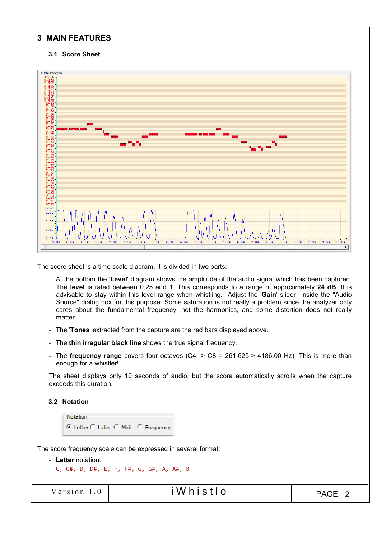# 3 MAIN FEATURES

### 3.1 Score Sheet



The score sheet is a time scale diagram. It is divided in two parts:

- At the bottom the 'Level' diagram shows the amplitude of the audio signal which has been captured. The level is rated between 0.25 and 1. This corresponds to a range of approximately 24 dB. It is advisable to stay within this level range when whistling. Adjust the 'Gain' slider inside the "Audio Source" dialog box for this purpose. Some saturation is not really a problem since the analyzer only cares about the fundamental frequency, not the harmonics, and some distortion does not really matter.
- The 'Tones' extracted from the capture are the red bars displayed above.
- The thin irregular black line shows the true signal frequency.
- The frequency range covers four octaves (C4 -> C8 = 261.625-> 4186.00 Hz). This is more than enough for a whistler!

The sheet displays only 10 seconds of audio, but the score automatically scrolls when the capture exceeds this duration.

#### 3.2 Notation

```
Notation
© Letter C Latin C Midi C Frequency
```
The score frequency scale can be expressed in several format:

```
- Letter notation:
  C, C#, D, D#, E, F, F#, G, G#, A, A#, B
```

```
V ersion 1.0 i W h i s t l e V example V and V h i S t l e V
```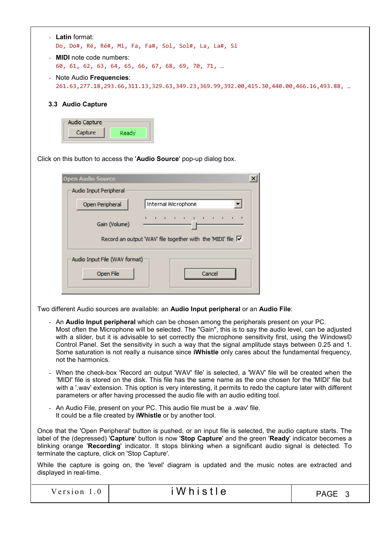| Latin format:<br>$\sim$<br>Do, Do#, Ré, Ré#, Mi, Fa, Fa#, Sol, Sol#, La, La#, Si                                                                  |
|---------------------------------------------------------------------------------------------------------------------------------------------------|
| <b>MIDI</b> note code numbers:<br>$\Delta \sim 10$<br>60, 61, 62, 63, 64, 65, 66, 67, 68, 69, 70, 71,                                             |
| - Note Audio Frequencies:<br>261.63, 277.18, 293.66, 311.13, 329.63, 349.23, 369.99, 392.00, 415.30, 440.00, 466.16, 493.88,<br>3.3 Audio Capture |
| -Audio Capture<br>Capture<br>Ready                                                                                                                |
| Click on this button to access the 'Audio Source' pop-up dialog box.                                                                              |

| Open Peripheral | Internal Microphone                                         |
|-----------------|-------------------------------------------------------------|
| Gain (Volume)   | * * * * * * * * * * *                                       |
|                 |                                                             |
|                 | Record an output 'WAV' file together with the 'MIDI' file V |
|                 |                                                             |

Two different Audio sources are available: an Audio Input peripheral or an Audio File:

- An Audio Input peripheral which can be chosen among the peripherals present on your PC. Most often the Microphone will be selected. The "Gain", this is to say the audio level, can be adjusted with a slider, but it is advisable to set correctly the microphone sensitivity first, using the Windows© Control Panel. Set the sensitivity in such a way that the signal amplitude stays between 0.25 and 1. Some saturation is not really a nuisance since iWhistle only cares about the fundamental frequency, not the harmonics.
- When the check-box 'Record an output 'WAV' file' is selected, a 'WAV' file will be created when the 'MIDI' file is stored on the disk. This file has the same name as the one chosen for the 'MIDI' file but with a '.wav' extension. This option is very interesting, it permits to redo the capture later with different parameters or after having processed the audio file with an audio editing tool.
- An Audio File, present on your PC. This audio file must be a .wav' file. It could be a file created by iWhistle or by another tool.

Once that the 'Open Peripheral' button is pushed, or an input file is selected, the audio capture starts. The label of the (depressed) 'Capture' button is now 'Stop Capture' and the green 'Ready' indicator becomes a blinking orange 'Recording' indicator. It stops blinking when a significant audio signal is detected. To terminate the capture, click on 'Stop Capture'.

While the capture is going on, the 'level' diagram is updated and the music notes are extracted and displayed in real-time.

| Version | iWhistle | <b>PAGE</b> |  |
|---------|----------|-------------|--|
|---------|----------|-------------|--|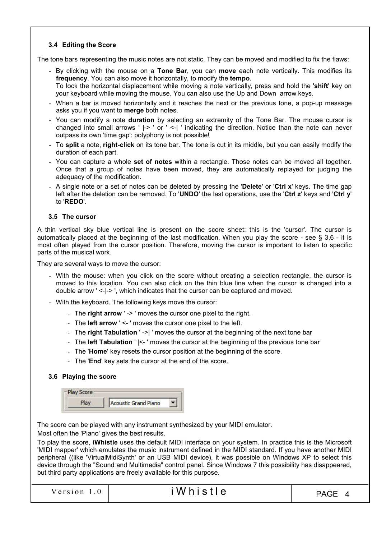# 3.4 Editing the Score

The tone bars representing the music notes are not static. They can be moved and modified to fix the flaws:

- By clicking with the mouse on a Tone Bar, you can move each note vertically. This modifies its frequency. You can also move it horizontally, to modify the tempo. To lock the horizontal displacement while moving a note vertically, press and hold the 'shift' key on your keyboard while moving the mouse. You can also use the Up and Down arrow keys.
- When a bar is moved horizontally and it reaches the next or the previous tone, a pop-up message asks you if you want to merge both notes.
- You can modify a note **duration** by selecting an extremity of the Tone Bar. The mouse cursor is changed into small arrows ' |-> ' or ' <-| ' indicating the direction. Notice than the note can never outpass its own 'time gap': polyphony is not possible!
- To split a note, right-click on its tone bar. The tone is cut in its middle, but you can easily modify the duration of each part.
- You can capture a whole set of notes within a rectangle. Those notes can be moved all together. Once that a group of notes have been moved, they are automatically replayed for judging the adequacy of the modification.
- A single note or a set of notes can be deleted by pressing the **'Delete'** or **'Ctrl x'** keys. The time gap left after the deletion can be removed. To 'UNDO' the last operations, use the 'Ctrl z' keys and 'Ctrl y' to 'REDO'.

#### 3.5 The cursor

A thin vertical sky blue vertical line is present on the score sheet: this is the 'cursor'. The cursor is automatically placed at the beginning of the last modification. When you play the score - see § 3.6 - it is most often played from the cursor position. Therefore, moving the cursor is important to listen to specific parts of the musical work.

They are several ways to move the cursor:

- With the mouse: when you click on the score without creating a selection rectangle, the cursor is moved to this location. You can also click on the thin blue line when the cursor is changed into a double arrow ' <-|-> ', which indicates that the cursor can be captured and moved.
- With the keyboard. The following keys move the cursor:
	- The right arrow ' -> ' moves the cursor one pixel to the right.
	- The **left arrow** ' <- ' moves the cursor one pixel to the left.
	- The right Tabulation ' ->| ' moves the cursor at the beginning of the next tone bar
	- The left Tabulation ' |<- ' moves the cursor at the beginning of the previous tone bar
	- The 'Home' key resets the cursor position at the beginning of the score.
	- The 'End' key sets the cursor at the end of the score.

#### 3.6 Playing the score

| Score |                      |  |
|-------|----------------------|--|
|       | Acoustic Grand Piano |  |

The score can be played with any instrument synthesized by your MIDI emulator.

Most often the 'Piano' gives the best results.

To play the score, iWhistle uses the default MIDI interface on your system. In practice this is the Microsoft 'MIDI mapper' which emulates the music instrument defined in the MIDI standard. If you have another MIDI peripheral ((like 'VirtualMidiSynth' or an USB MIDI device), it was possible on Windows XP to select this device through the "Sound and Multimedia" control panel. Since Windows 7 this possibility has disappeared, but third party applications are freely available for this purpose.

| Version | Whistle | <b>PAGE</b> |
|---------|---------|-------------|
|         |         |             |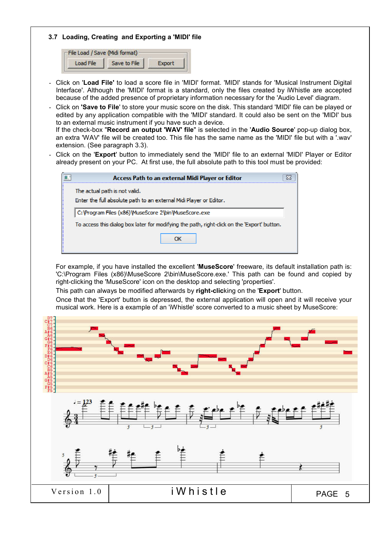### 3.7 Loading, Creating and Exporting a 'MIDI' file

| File Load / Save (Midi format) |              |  |  |  |
|--------------------------------|--------------|--|--|--|
| Load File                      | Save to File |  |  |  |

- Click on 'Load File' to load a score file in 'MIDI' format. 'MIDI' stands for 'Musical Instrument Digital Interface'. Although the 'MIDI' format is a standard, only the files created by iWhistle are accepted because of the added presence of proprietary information necessary for the 'Audio Level' diagram.
- Click on 'Save to File' to store your music score on the disk. This standard 'MIDI' file can be played or edited by any application compatible with the 'MIDI' standard. It could also be sent on the 'MIDI' bus to an external music instrument if you have such a device.

| If the check-box "Record an output 'WAV' file" is selected in the 'Audio Source' pop-up dialog box,       |  |  |  |  |
|-----------------------------------------------------------------------------------------------------------|--|--|--|--|
| an extra 'WAV' file will be created too. This file has the same name as the 'MIDI' file but with a '.wav' |  |  |  |  |
| extension. (See paragraph 3.3).                                                                           |  |  |  |  |

- Click on the 'Export' button to immediately send the 'MIDI' file to an external 'MIDI' Player or Editor already present on your PC. At first use, the full absolute path to this tool must be provided:

| Access Path to an external Midi Player or Editor                                                    |  |
|-----------------------------------------------------------------------------------------------------|--|
| The actual path is not valid.<br>Enter the full absolute path to an external Midi Player or Editor. |  |
| C: \Program Files (x86)\MuseScore 2\bin\MuseScore.exe                                               |  |
| To access this dialog box later for modifying the path, right-dick on the 'Export' button.          |  |
| ΩК                                                                                                  |  |

For example, if you have installed the excellent 'MuseScore' freeware, its default installation path is: 'C:\Program Files (x86)\MuseScore 2\bin\MuseScore.exe.' This path can be found and copied by right-clicking the 'MuseScore' icon on the desktop and selecting 'properties'.

This path can always be modified afterwards by right-clicking on the 'Export' button.

Once that the 'Export' button is depressed, the external application will open and it will receive your musical work. Here is a example of an 'iWhistle' score converted to a music sheet by MuseScore:

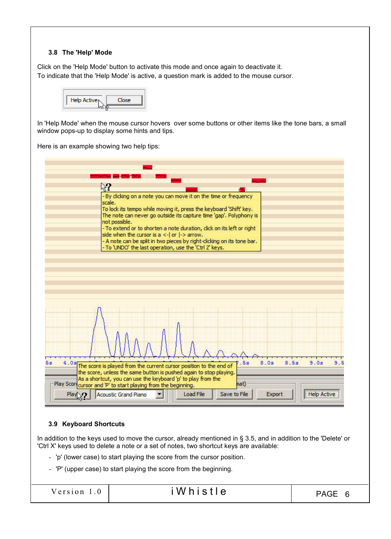### 3.8 The 'Help' Mode

Click on the 'Help Mode' button to activate this mode and once again to deactivate it. To indicate that the 'Help Mode' is active, a question mark is added to the mouse cursor.

| Help Active <sub>N</sub><br><b>CER</b> |
|----------------------------------------|
|                                        |

In 'Help Mode' when the mouse cursor hovers over some buttons or other items like the tone bars, a small window pops-up to display some hints and tips.

Here is an example showing two help tips:

| $\%3$                                                                                                                                                                                                                                                                                                                                                                                                                                                                                                          |
|----------------------------------------------------------------------------------------------------------------------------------------------------------------------------------------------------------------------------------------------------------------------------------------------------------------------------------------------------------------------------------------------------------------------------------------------------------------------------------------------------------------|
| - By dicking on a note you can move it on the time or frequency<br>scale.<br>To lock its tempo while moving it, press the keyboard 'Shift' key.<br>The note can never go outside its capture time 'gap'. Polyphony is<br>not possible.<br>- To extend or to shorten a note duration, click on its left or right<br>side when the cursor is $a < -1$ or $\rightarrow$ arrow.<br>- A note can be split in two pieces by right-dicking on its tone bar.<br>- To 'UNDO' the last operation, use the 'Ctrl Z' keys. |
|                                                                                                                                                                                                                                                                                                                                                                                                                                                                                                                |
| 8.0s<br>8.59<br>9.0s<br>9.5<br>5s<br>4.0s<br>5s                                                                                                                                                                                                                                                                                                                                                                                                                                                                |
| The score is played from the current cursor position to the end of<br>the score, unless the same button is pushed again to stop playing.                                                                                                                                                                                                                                                                                                                                                                       |
| As a shortcut, you can use the keyboard 'p' to play from the<br>hat)                                                                                                                                                                                                                                                                                                                                                                                                                                           |
| Play Scor cursor and 'P' to start playing from the beginning.<br><b>Load File</b><br>Save to File<br><b>Acoustic Grand Piano</b><br>Export<br><b>Help Activ</b><br>Play                                                                                                                                                                                                                                                                                                                                        |
|                                                                                                                                                                                                                                                                                                                                                                                                                                                                                                                |

# 3.9 Keyboard Shortcuts

In addition to the keys used to move the cursor, already mentioned in § 3.5, and in addition to the 'Delete' or 'Ctrl X' keys used to delete a note or a set of notes, two shortcut keys are available:

- 'p' (lower case) to start playing the score from the cursor position.
- 'P' (upper case) to start playing the score from the beginning.